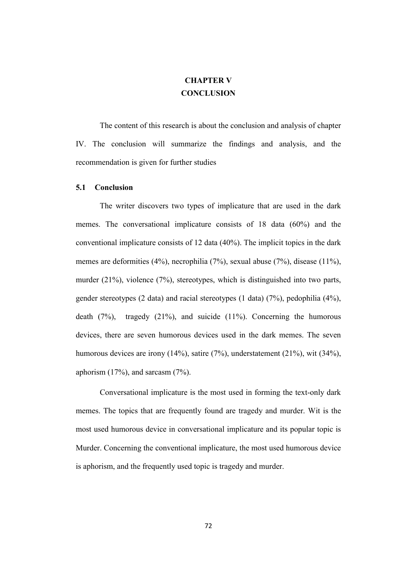## **CHAPTER V CONCLUSION**

The content of this research is about the conclusion and analysis of chapter IV. The conclusion will summarize the findings and analysis, and the recommendation is given for further studies

## **5.1 Conclusion**

The writer discovers two types of implicature that are used in the dark memes. The conversational implicature consists of 18 data (60%) and the conventional implicature consists of 12 data (40%). The implicit topics in the dark memes are deformities (4%), necrophilia (7%), sexual abuse (7%), disease (11%), murder (21%), violence (7%), stereotypes, which is distinguished into two parts, gender stereotypes (2 data) and racial stereotypes (1 data) (7%), pedophilia (4%), death  $(7%)$ , tragedy  $(21%)$ , and suicide  $(11%)$ . Concerning the humorous devices, there are seven humorous devices used in the dark memes. The seven humorous devices are irony (14%), satire (7%), understatement (21%), wit (34%), aphorism (17%), and sarcasm (7%).

Conversational implicature is the most used in forming the text-only dark memes. The topics that are frequently found are tragedy and murder. Wit is the most used humorous device in conversational implicature and its popular topic is Murder. Concerning the conventional implicature, the most used humorous device is aphorism, and the frequently used topic is tragedy and murder.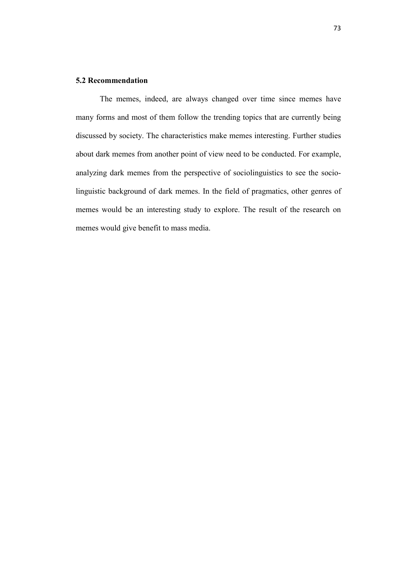## **5.2 Recommendation**

The memes, indeed, are always changed over time since memes have many forms and most of them follow the trending topics that are currently being discussed by society. The characteristics make memes interesting. Further studies about dark memes from another point of view need to be conducted. For example, analyzing dark memes from the perspective of sociolinguistics to see the sociolinguistic background of dark memes. In the field of pragmatics, other genres of memes would be an interesting study to explore. The result of the research on memes would give benefit to mass media.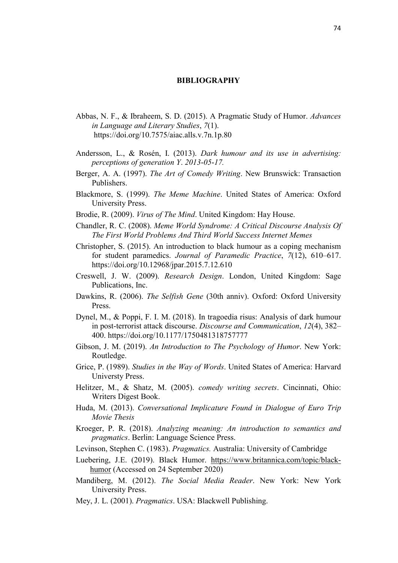## **BIBLIOGRAPHY**

- Abbas, N. F., & Ibraheem, S. D. (2015). A Pragmatic Study of Humor. *Advances in Language and Literary Studies*, *7*(1). https://doi.org/10.7575/aiac.alls.v.7n.1p.80
- Andersson, L., & Rosén, I. (2013). *Dark humour and its use in advertising: perceptions of generation Y*. *2013*-*05*-*17.*
- Berger, A. A. (1997). *The Art of Comedy Writing*. New Brunswick: Transaction Publishers.
- Blackmore, S. (1999). *The Meme Machine*. United States of America: Oxford University Press.
- Brodie, R. (2009). *Virus of The Mind*. United Kingdom: Hay House.
- Chandler, R. C. (2008). *Meme World Syndrome: A Critical Discourse Analysis Of The First World Problems And Third World Success Internet Memes*
- Christopher, S. (2015). An introduction to black humour as a coping mechanism for student paramedics. *Journal of Paramedic Practice*, *7*(12), 610–617. https://doi.org/10.12968/jpar.2015.7.12.610
- Creswell, J. W. (2009). *Research Design*. London, United Kingdom: Sage Publications, Inc.
- Dawkins, R. (2006). *The Selfish Gene* (30th anniv). Oxford: Oxford University Press.
- Dynel, M., & Poppi, F. I. M. (2018). In tragoedia risus: Analysis of dark humour in post-terrorist attack discourse. *Discourse and Communication*, *12*(4), 382– 400. https://doi.org/10.1177/1750481318757777
- Gibson, J. M. (2019). *An Introduction to The Psychology of Humor*. New York: Routledge.
- Grice, P. (1989). *Studies in the Way of Words*. United States of America: Harvard Universty Press.
- Helitzer, M., & Shatz, M. (2005). *comedy writing secrets*. Cincinnati, Ohio: Writers Digest Book.
- Huda, M. (2013). *Conversational Implicature Found in Dialogue of Euro Trip Movie Thesis*
- Kroeger, P. R. (2018). *Analyzing meaning: An introduction to semantics and pragmatics*. Berlin: Language Science Press.
- Levinson, Stephen C. (1983). *Pragmatics.* Australia: University of Cambridge
- Luebering, J.E. (2019). Black Humor. [https://www.britannica.com/topic/](https://www.britannica.com/topic/black-humor)black[humo](https://www.britannica.com/topic/black-humor)r (Accessed on 24 September 2020)
- Mandiberg, M. (2012). *The Social Media Reader*. New York: New York University Press.
- Mey, J. L. (2001). *Pragmatics*. USA: Blackwell Publishing.